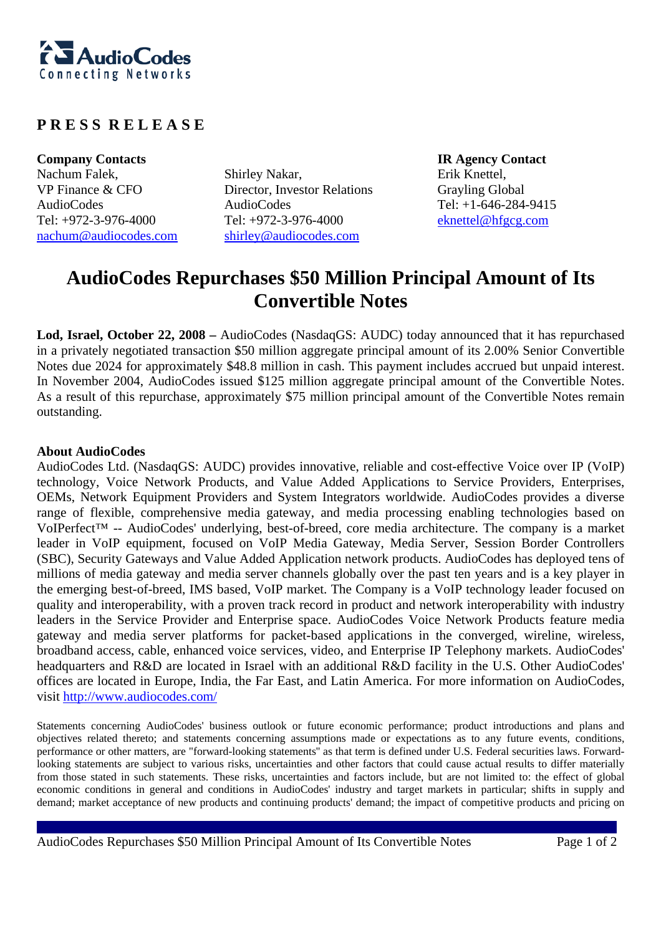

## **P R E S S R E L E A S E**

**Company Contacts IR Agency Contact**  Nachum Falek, VP Finance & CFO AudioCodes Tel: +972-3-976-4000 nachum@audiocodes.com

Shirley Nakar, Director, Investor Relations AudioCodes Tel: +972-3-976-4000 shirley@audiocodes.com

Erik Knettel, Grayling Global Tel: +1-646-284-9415 eknettel@hfgcg.com

## **AudioCodes Repurchases \$50 Million Principal Amount of Its Convertible Notes**

**Lod, Israel, October 22, 2008 –** AudioCodes (NasdaqGS: AUDC) today announced that it has repurchased in a privately negotiated transaction \$50 million aggregate principal amount of its 2.00% Senior Convertible Notes due 2024 for approximately \$48.8 million in cash. This payment includes accrued but unpaid interest. In November 2004, AudioCodes issued \$125 million aggregate principal amount of the Convertible Notes. As a result of this repurchase, approximately \$75 million principal amount of the Convertible Notes remain outstanding.

## **About AudioCodes**

AudioCodes Ltd. (NasdaqGS: AUDC) provides innovative, reliable and cost-effective Voice over IP (VoIP) technology, Voice Network Products, and Value Added Applications to Service Providers, Enterprises, OEMs, Network Equipment Providers and System Integrators worldwide. AudioCodes provides a diverse range of flexible, comprehensive media gateway, and media processing enabling technologies based on VoIPerfect™ -- AudioCodes' underlying, best-of-breed, core media architecture. The company is a market leader in VoIP equipment, focused on VoIP Media Gateway, Media Server, Session Border Controllers (SBC), Security Gateways and Value Added Application network products. AudioCodes has deployed tens of millions of media gateway and media server channels globally over the past ten years and is a key player in the emerging best-of-breed, IMS based, VoIP market. The Company is a VoIP technology leader focused on quality and interoperability, with a proven track record in product and network interoperability with industry leaders in the Service Provider and Enterprise space. AudioCodes Voice Network Products feature media gateway and media server platforms for packet-based applications in the converged, wireline, wireless, broadband access, cable, enhanced voice services, video, and Enterprise IP Telephony markets. AudioCodes' headquarters and R&D are located in Israel with an additional R&D facility in the U.S. Other AudioCodes' offices are located in Europe, India, the Far East, and Latin America. For more information on AudioCodes, visit http://www.audiocodes.com/

Statements concerning AudioCodes' business outlook or future economic performance; product introductions and plans and objectives related thereto; and statements concerning assumptions made or expectations as to any future events, conditions, performance or other matters, are "forward-looking statements'' as that term is defined under U.S. Federal securities laws. Forwardlooking statements are subject to various risks, uncertainties and other factors that could cause actual results to differ materially from those stated in such statements. These risks, uncertainties and factors include, but are not limited to: the effect of global economic conditions in general and conditions in AudioCodes' industry and target markets in particular; shifts in supply and demand; market acceptance of new products and continuing products' demand; the impact of competitive products and pricing on

AudioCodes Repurchases \$50 Million Principal Amount of Its Convertible Notes Page 1 of 2